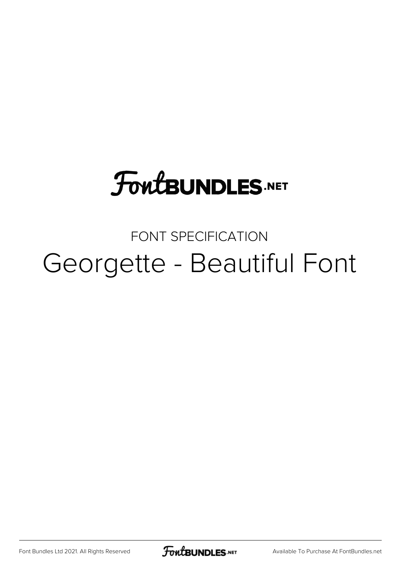# **FoutBUNDLES.NET**

### FONT SPECIFICATION Georgette - Beautiful Font

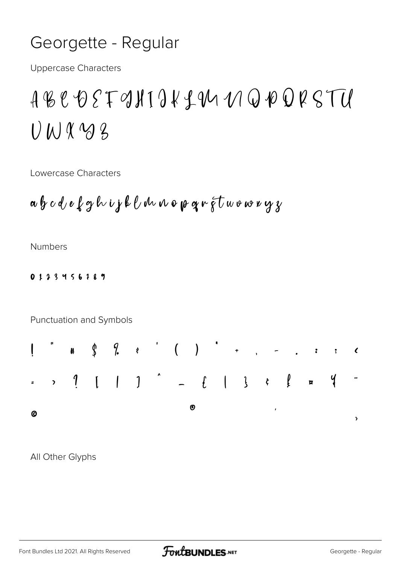### Georgette - Regular

**Uppercase Characters** 

## ABCDEFONIJKLIMMQPQRSTU  $U$  W & 3

Lowercase Characters

$$
a\,b\,c\,d\,e\,\ell\,g\,h\,ij\,k\,\ell\,dn\,n\,e\,p\,q\,r\,\tilde{\varsigma}\,t\,w\,v\,w\,v\,y\,y
$$

**Numbers** 

#### 0123456789

Punctuation and Symbols



All Other Glyphs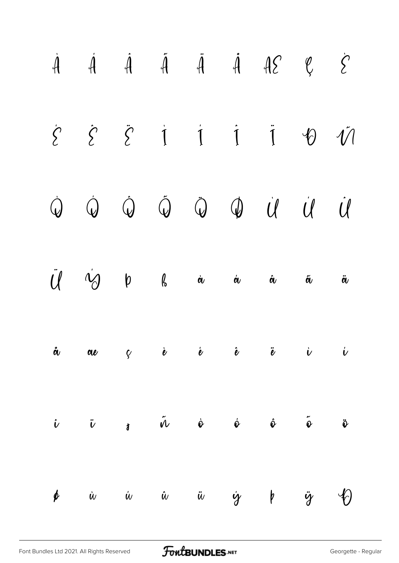